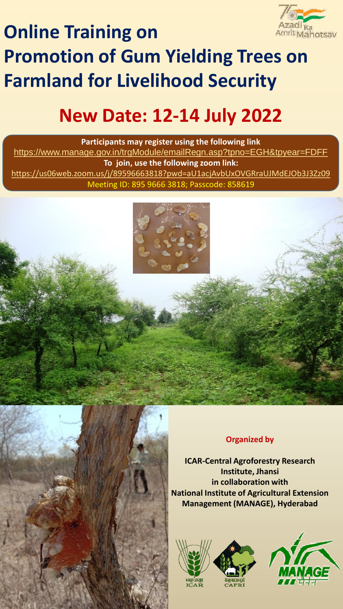

## **Online Training on Promotion of Gum Yielding Trees on Farmland for Livelihood Security**

## **New Date: 12-14 July 2022**

**Participants may register using the following link**  <https://www.manage.gov.in/trgModule/emailRegn.asp?tpno=EGH&tpyear=FDFF> **To join, use the following zoom link:** <https://us06web.zoom.us/j/89596663818?pwd=aU1acjAvbUxOVGRraUJMdEJOb3J3Zz09> Meeting ID: 895 9666 3818; Passcode: 858619





## **Organized by**

**ICAR-Central Agroforestry Research Institute, Jhansi in collaboration with National Institute of Agricultural Extension Management (MANAGE), Hyderabad**